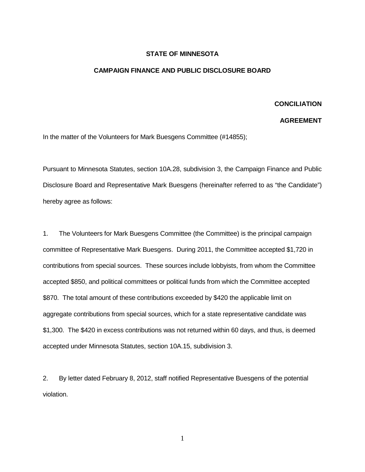## **STATE OF MINNESOTA**

## **CAMPAIGN FINANCE AND PUBLIC DISCLOSURE BOARD**

## **CONCILIATION**

## **AGREEMENT**

In the matter of the Volunteers for Mark Buesgens Committee (#14855);

Pursuant to Minnesota Statutes, section 10A.28, subdivision 3, the Campaign Finance and Public Disclosure Board and Representative Mark Buesgens (hereinafter referred to as "the Candidate") hereby agree as follows:

1. The Volunteers for Mark Buesgens Committee (the Committee) is the principal campaign committee of Representative Mark Buesgens. During 2011, the Committee accepted \$1,720 in contributions from special sources. These sources include lobbyists, from whom the Committee accepted \$850, and political committees or political funds from which the Committee accepted \$870. The total amount of these contributions exceeded by \$420 the applicable limit on aggregate contributions from special sources, which for a state representative candidate was \$1,300. The \$420 in excess contributions was not returned within 60 days, and thus, is deemed accepted under Minnesota Statutes, section 10A.15, subdivision 3.

2. By letter dated February 8, 2012, staff notified Representative Buesgens of the potential violation.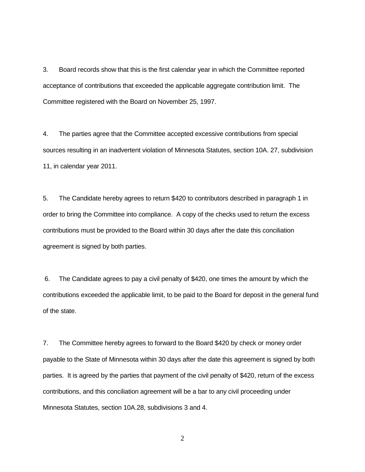3. Board records show that this is the first calendar year in which the Committee reported acceptance of contributions that exceeded the applicable aggregate contribution limit. The Committee registered with the Board on November 25, 1997.

4. The parties agree that the Committee accepted excessive contributions from special sources resulting in an inadvertent violation of Minnesota Statutes, section 10A. 27, subdivision 11, in calendar year 2011.

5. The Candidate hereby agrees to return \$420 to contributors described in paragraph 1 in order to bring the Committee into compliance. A copy of the checks used to return the excess contributions must be provided to the Board within 30 days after the date this conciliation agreement is signed by both parties.

6. The Candidate agrees to pay a civil penalty of \$420, one times the amount by which the contributions exceeded the applicable limit, to be paid to the Board for deposit in the general fund of the state.

7. The Committee hereby agrees to forward to the Board \$420 by check or money order payable to the State of Minnesota within 30 days after the date this agreement is signed by both parties. It is agreed by the parties that payment of the civil penalty of \$420, return of the excess contributions, and this conciliation agreement will be a bar to any civil proceeding under Minnesota Statutes, section 10A.28, subdivisions 3 and 4.

2